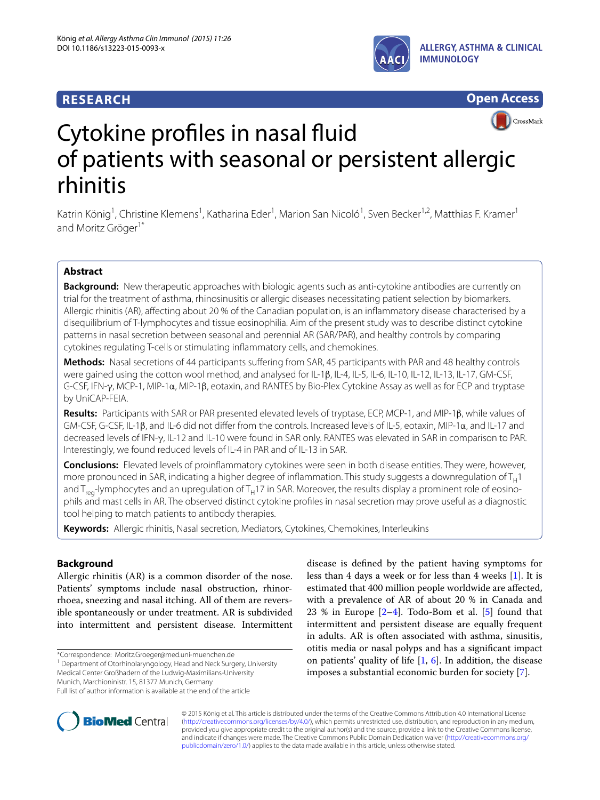# **RESEARCH**





# Cytokine profiles in nasal fluid of patients with seasonal or persistent allergic rhinitis

Katrin König<sup>1</sup>, Christine Klemens<sup>1</sup>, Katharina Eder<sup>1</sup>, Marion San Nicoló<sup>1</sup>, Sven Becker<sup>1,2</sup>, Matthias F. Kramer<sup>1</sup> and Moritz Gröger<sup>1\*</sup>

## **Abstract**

**Background:** New therapeutic approaches with biologic agents such as anti-cytokine antibodies are currently on trial for the treatment of asthma, rhinosinusitis or allergic diseases necessitating patient selection by biomarkers. Allergic rhinitis (AR), affecting about 20 % of the Canadian population, is an inflammatory disease characterised by a disequilibrium of T-lymphocytes and tissue eosinophilia. Aim of the present study was to describe distinct cytokine patterns in nasal secretion between seasonal and perennial AR (SAR/PAR), and healthy controls by comparing cytokines regulating T-cells or stimulating inflammatory cells, and chemokines.

**Methods:** Nasal secretions of 44 participants suffering from SAR, 45 participants with PAR and 48 healthy controls were gained using the cotton wool method, and analysed for IL-1β, IL-4, IL-5, IL-6, IL-10, IL-12, IL-13, IL-17, GM-CSF, G-CSF, IFN-γ, MCP-1, MIP-1α, MIP-1β, eotaxin, and RANTES by Bio-Plex Cytokine Assay as well as for ECP and tryptase by UniCAP-FEIA.

**Results:** Participants with SAR or PAR presented elevated levels of tryptase, ECP, MCP-1, and MIP-1β, while values of GM-CSF, G-CSF, IL-1β, and IL-6 did not differ from the controls. Increased levels of IL-5, eotaxin, MIP-1α, and IL-17 and decreased levels of IFN-γ, IL-12 and IL-10 were found in SAR only. RANTES was elevated in SAR in comparison to PAR. Interestingly, we found reduced levels of IL-4 in PAR and of IL-13 in SAR.

**Conclusions:** Elevated levels of proinflammatory cytokines were seen in both disease entities. They were, however, more pronounced in SAR, indicating a higher degree of inflammation. This study suggests a downregulation of  $T_H1$ and  $T_{\text{ren}}$ -lymphocytes and an upregulation of  $T_H17$  in SAR. Moreover, the results display a prominent role of eosinophils and mast cells in AR. The observed distinct cytokine profiles in nasal secretion may prove useful as a diagnostic tool helping to match patients to antibody therapies.

**Keywords:** Allergic rhinitis, Nasal secretion, Mediators, Cytokines, Chemokines, Interleukins

## **Background**

Allergic rhinitis (AR) is a common disorder of the nose. Patients' symptoms include nasal obstruction, rhinorrhoea, sneezing and nasal itching. All of them are reversible spontaneously or under treatment. AR is subdivided into intermittent and persistent disease. Intermittent

\*Correspondence: Moritz.Groeger@med.uni-muenchen.de 1

<sup>1</sup> Department of Otorhinolaryngology, Head and Neck Surgery, University

Medical Center Großhadern of the Ludwig-Maximilians-University Munich, Marchioninistr. 15, 81377 Munich, Germany





© 2015 König et al. This article is distributed under the terms of the Creative Commons Attribution 4.0 International License [\(http://creativecommons.org/licenses/by/4.0/\)](http://creativecommons.org/licenses/by/4.0/), which permits unrestricted use, distribution, and reproduction in any medium, provided you give appropriate credit to the original author(s) and the source, provide a link to the Creative Commons license, and indicate if changes were made. The Creative Commons Public Domain Dedication waiver ([http://creativecommons.org/](http://creativecommons.org/publicdomain/zero/1.0/) [publicdomain/zero/1.0/](http://creativecommons.org/publicdomain/zero/1.0/)) applies to the data made available in this article, unless otherwise stated.

Full list of author information is available at the end of the article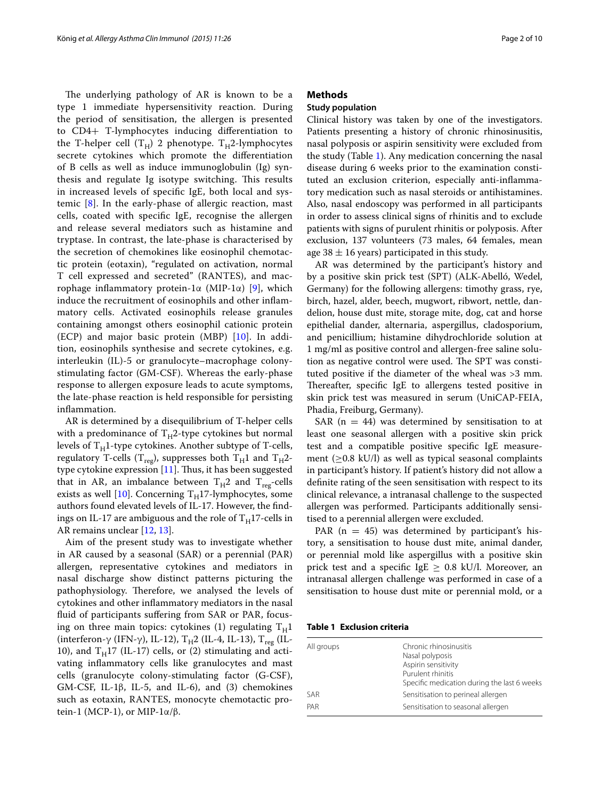The underlying pathology of AR is known to be a type 1 immediate hypersensitivity reaction. During the period of sensitisation, the allergen is presented to CD4+ T-lymphocytes inducing differentiation to the T-helper cell  $(T_H)$  2 phenotype.  $T_H$ 2-lymphocytes secrete cytokines which promote the differentiation of B cells as well as induce immunoglobulin (Ig) synthesis and regulate Ig isotype switching. This results in increased levels of specific IgE, both local and systemic [\[8](#page-8-6)]. In the early-phase of allergic reaction, mast cells, coated with specific IgE, recognise the allergen and release several mediators such as histamine and tryptase. In contrast, the late-phase is characterised by the secretion of chemokines like eosinophil chemotactic protein (eotaxin), "regulated on activation, normal T cell expressed and secreted" (RANTES), and macrophage inflammatory protein-1α (MIP-1α) [[9\]](#page-8-7), which induce the recruitment of eosinophils and other inflammatory cells. Activated eosinophils release granules containing amongst others eosinophil cationic protein (ECP) and major basic protein (MBP) [\[10](#page-8-8)]. In addition, eosinophils synthesise and secrete cytokines, e.g. interleukin (IL)-5 or granulocyte–macrophage colonystimulating factor (GM-CSF). Whereas the early-phase response to allergen exposure leads to acute symptoms, the late-phase reaction is held responsible for persisting inflammation.

AR is determined by a disequilibrium of T-helper cells with a predominance of  $T_H2$ -type cytokines but normal levels of  $T_H1$ -type cytokines. Another subtype of T-cells, regulatory T-cells (T<sub>reg</sub>), suppresses both T<sub>H</sub>1 and T<sub>H</sub>2type cytokine expression [[11\]](#page-8-9). Thus, it has been suggested that in AR, an imbalance between  $T_H2$  and  $T_{reg}$ -cells exists as well [[10](#page-8-8)]. Concerning  $T_H$ 17-lymphocytes, some authors found elevated levels of IL-17. However, the findings on IL-17 are ambiguous and the role of  $T_H$ 17-cells in AR remains unclear [\[12,](#page-8-10) [13](#page-8-11)].

Aim of the present study was to investigate whether in AR caused by a seasonal (SAR) or a perennial (PAR) allergen, representative cytokines and mediators in nasal discharge show distinct patterns picturing the pathophysiology. Therefore, we analysed the levels of cytokines and other inflammatory mediators in the nasal fluid of participants suffering from SAR or PAR, focusing on three main topics: cytokines (1) regulating  $T_H1$ (interferon-γ (IFN-γ), IL-12), T<sub>H</sub>2 (IL-4, IL-13), T<sub>reg</sub> (IL-10), and  $T_H17$  (IL-17) cells, or (2) stimulating and activating inflammatory cells like granulocytes and mast cells (granulocyte colony-stimulating factor (G-CSF), GM-CSF, IL-1β, IL-5, and IL-6), and (3) chemokines such as eotaxin, RANTES, monocyte chemotactic protein-1 (MCP-1), or MIP- $1α/β$ .

## **Methods**

## **Study population**

Clinical history was taken by one of the investigators. Patients presenting a history of chronic rhinosinusitis, nasal polyposis or aspirin sensitivity were excluded from the study (Table [1\)](#page-1-0). Any medication concerning the nasal disease during 6 weeks prior to the examination constituted an exclusion criterion, especially anti-inflammatory medication such as nasal steroids or antihistamines. Also, nasal endoscopy was performed in all participants in order to assess clinical signs of rhinitis and to exclude patients with signs of purulent rhinitis or polyposis. After exclusion, 137 volunteers (73 males, 64 females, mean age 38  $\pm$  16 years) participated in this study.

AR was determined by the participant's history and by a positive skin prick test (SPT) (ALK-Abelló, Wedel, Germany) for the following allergens: timothy grass, rye, birch, hazel, alder, beech, mugwort, ribwort, nettle, dandelion, house dust mite, storage mite, dog, cat and horse epithelial dander, alternaria, aspergillus, cladosporium, and penicillium; histamine dihydrochloride solution at 1 mg/ml as positive control and allergen-free saline solution as negative control were used. The SPT was constituted positive if the diameter of the wheal was >3 mm. Thereafter, specific IgE to allergens tested positive in skin prick test was measured in serum (UniCAP-FEIA, Phadia, Freiburg, Germany).

SAR ( $n = 44$ ) was determined by sensitisation to at least one seasonal allergen with a positive skin prick test and a compatible positive specific IgE measurement ( $\geq$ 0.8 kU/l) as well as typical seasonal complaints in participant's history. If patient's history did not allow a definite rating of the seen sensitisation with respect to its clinical relevance, a intranasal challenge to the suspected allergen was performed. Participants additionally sensitised to a perennial allergen were excluded.

PAR  $(n = 45)$  was determined by participant's history, a sensitisation to house dust mite, animal dander, or perennial mold like aspergillus with a positive skin prick test and a specific IgE  $\geq$  0.8 kU/l. Moreover, an intranasal allergen challenge was performed in case of a sensitisation to house dust mite or perennial mold, or a

<span id="page-1-0"></span>**Table 1 Exclusion criteria**

| All groups | Chronic rhinosinusitis<br>Nasal polyposis<br>Aspirin sensitivity<br>Purulent rhinitis<br>Specific medication during the last 6 weeks |
|------------|--------------------------------------------------------------------------------------------------------------------------------------|
| <b>SAR</b> | Sensitisation to perineal allergen                                                                                                   |
| PAR        | Sensitisation to seasonal allergen                                                                                                   |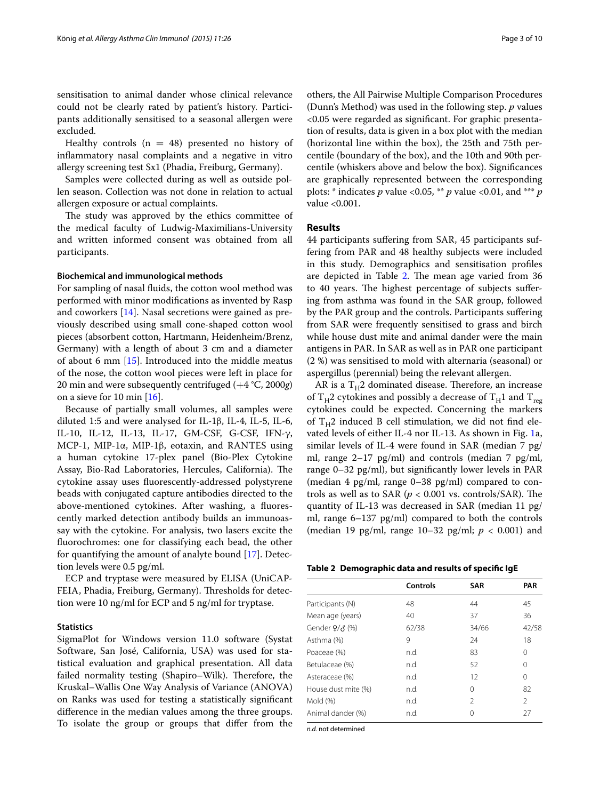sensitisation to animal dander whose clinical relevance could not be clearly rated by patient's history. Participants additionally sensitised to a seasonal allergen were excluded.

Healthy controls  $(n = 48)$  presented no history of inflammatory nasal complaints and a negative in vitro allergy screening test Sx1 (Phadia, Freiburg, Germany).

Samples were collected during as well as outside pollen season. Collection was not done in relation to actual allergen exposure or actual complaints.

The study was approved by the ethics committee of the medical faculty of Ludwig-Maximilians-University and written informed consent was obtained from all participants.

#### **Biochemical and immunological methods**

For sampling of nasal fluids, the cotton wool method was performed with minor modifications as invented by Rasp and coworkers [[14](#page-8-12)]. Nasal secretions were gained as previously described using small cone-shaped cotton wool pieces (absorbent cotton, Hartmann, Heidenheim/Brenz, Germany) with a length of about 3 cm and a diameter of about 6 mm [[15\]](#page-8-13). Introduced into the middle meatus of the nose, the cotton wool pieces were left in place for 20 min and were subsequently centrifuged (+4 °C, 2000*g*) on a sieve for 10 min [[16\]](#page-8-14).

Because of partially small volumes, all samples were diluted 1:5 and were analysed for IL-1β, IL-4, IL-5, IL-6, IL-10, IL-12, IL-13, IL-17, GM-CSF, G-CSF, IFN-γ, MCP-1, MIP-1α, MIP-1β, eotaxin, and RANTES using a human cytokine 17-plex panel (Bio-Plex Cytokine Assay, Bio-Rad Laboratories, Hercules, California). The cytokine assay uses fluorescently-addressed polystyrene beads with conjugated capture antibodies directed to the above-mentioned cytokines. After washing, a fluorescently marked detection antibody builds an immunoassay with the cytokine. For analysis, two lasers excite the fluorochromes: one for classifying each bead, the other for quantifying the amount of analyte bound [\[17](#page-8-15)]. Detection levels were 0.5 pg/ml.

ECP and tryptase were measured by ELISA (UniCAP-FEIA, Phadia, Freiburg, Germany). Thresholds for detection were 10 ng/ml for ECP and 5 ng/ml for tryptase.

#### **Statistics**

SigmaPlot for Windows version 11.0 software (Systat Software, San José, California, USA) was used for statistical evaluation and graphical presentation. All data failed normality testing (Shapiro–Wilk). Therefore, the Kruskal–Wallis One Way Analysis of Variance (ANOVA) on Ranks was used for testing a statistically significant difference in the median values among the three groups. To isolate the group or groups that differ from the others, the All Pairwise Multiple Comparison Procedures (Dunn's Method) was used in the following step. *p* values <0.05 were regarded as significant. For graphic presentation of results, data is given in a box plot with the median (horizontal line within the box), the 25th and 75th percentile (boundary of the box), and the 10th and 90th percentile (whiskers above and below the box). Significances are graphically represented between the corresponding plots: \* indicates *p* value <0.05, \*\* *p* value <0.01, and \*\*\* *p* value <0.001.

## **Results**

44 participants suffering from SAR, 45 participants suffering from PAR and 48 healthy subjects were included in this study. Demographics and sensitisation profiles are depicted in Table [2](#page-2-0). The mean age varied from 36 to 40 years. The highest percentage of subjects suffering from asthma was found in the SAR group, followed by the PAR group and the controls. Participants suffering from SAR were frequently sensitised to grass and birch while house dust mite and animal dander were the main antigens in PAR. In SAR as well as in PAR one participant (2 %) was sensitised to mold with alternaria (seasonal) or aspergillus (perennial) being the relevant allergen.

AR is a  $T_H2$  dominated disease. Therefore, an increase of T<sub>H</sub>2 cytokines and possibly a decrease of T<sub>H</sub>1 and T<sub>reg</sub> cytokines could be expected. Concerning the markers of  $T_H2$  induced B cell stimulation, we did not find elevated levels of either IL-4 nor IL-13. As shown in Fig. [1a](#page-3-0), similar levels of IL-4 were found in SAR (median 7 pg/ ml, range 2–17 pg/ml) and controls (median 7 pg/ml, range 0–32 pg/ml), but significantly lower levels in PAR (median 4 pg/ml, range 0–38 pg/ml) compared to controls as well as to SAR ( $p < 0.001$  vs. controls/SAR). The quantity of IL-13 was decreased in SAR (median 11 pg/ ml, range 6–137 pg/ml) compared to both the controls (median 19 pg/ml, range 10–32 pg/ml; *p* < 0.001) and

<span id="page-2-0"></span>

| Table 2 Demographic data and results of specific IgE |  |  |  |  |  |
|------------------------------------------------------|--|--|--|--|--|
|------------------------------------------------------|--|--|--|--|--|

|                     | Controls | <b>SAR</b>     | <b>PAR</b>    |
|---------------------|----------|----------------|---------------|
| Participants (N)    | 48       | 44             | 45            |
| Mean age (years)    | 40       | 37             | 36            |
| Gender $9/3$ (%)    | 62/38    | 34/66          | 42/58         |
| Asthma (%)          | 9        | 24             | 18            |
| Poaceae (%)         | n.d.     | 83             | Ω             |
| Betulaceae (%)      | n.d.     | 52             | Ω             |
| Asteraceae (%)      | n.d.     | 12             | 0             |
| House dust mite (%) | n.d.     | 0              | 82            |
| Mold (%)            | n.d.     | $\mathfrak{D}$ | $\mathcal{P}$ |
| Animal dander (%)   | n.d.     | Ω              | 27            |

*n.d.* not determined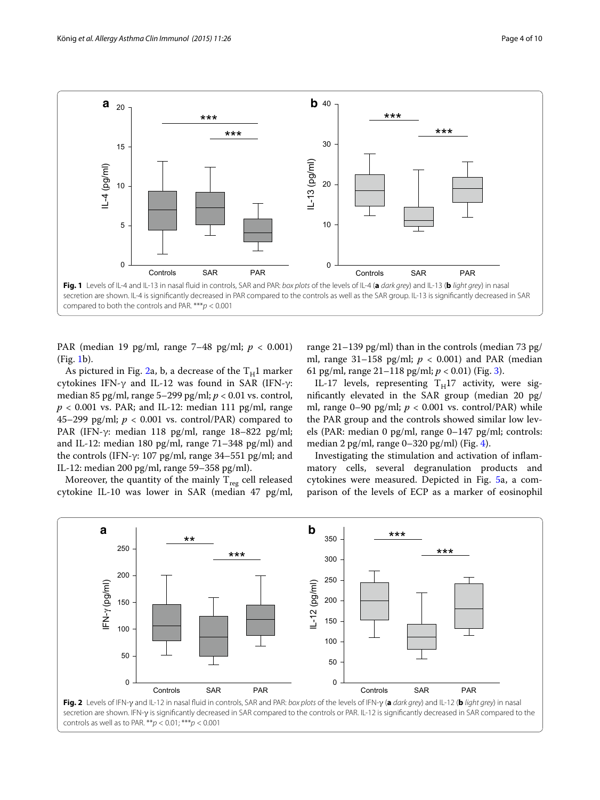

<span id="page-3-0"></span>PAR (median 19 pg/ml, range 7–48 pg/ml; *p* < 0.001) (Fig. [1b](#page-3-0)).

As pictured in Fig. [2](#page-3-1)a, b, a decrease of the  $T_H1$  marker cytokines IFN-γ and IL-12 was found in SAR (IFN-γ: median 85 pg/ml, range 5–299 pg/ml; *p* < 0.01 vs. control,  $p < 0.001$  vs. PAR; and IL-12: median 111 pg/ml, range 45–299 pg/ml;  $p < 0.001$  vs. control/PAR) compared to PAR (IFN-γ: median 118 pg/ml, range 18–822 pg/ml; and IL-12: median 180 pg/ml, range 71–348 pg/ml) and the controls (IFN-γ: 107 pg/ml, range 34–551 pg/ml; and IL-12: median 200 pg/ml, range 59–358 pg/ml).

Moreover, the quantity of the mainly  $T_{reg}$  cell released cytokine IL-10 was lower in SAR (median 47 pg/ml, range 21–139 pg/ml) than in the controls (median 73 pg/ ml, range  $31-158$  pg/ml;  $p < 0.001$ ) and PAR (median 61 pg/ml, range 21–118 pg/ml; *p* < 0.01) (Fig. [3\)](#page-4-0).

IL-17 levels, representing  $T_H17$  activity, were significantly elevated in the SAR group (median 20 pg/ ml, range  $0-90$  pg/ml;  $p < 0.001$  vs. control/PAR) while the PAR group and the controls showed similar low levels (PAR: median 0 pg/ml, range 0–147 pg/ml; controls: median 2 pg/ml, range  $0-320$  pg/ml) (Fig. [4](#page-4-1)).

Investigating the stimulation and activation of inflammatory cells, several degranulation products and cytokines were measured. Depicted in Fig. [5](#page-5-0)a, a comparison of the levels of ECP as a marker of eosinophil

<span id="page-3-1"></span>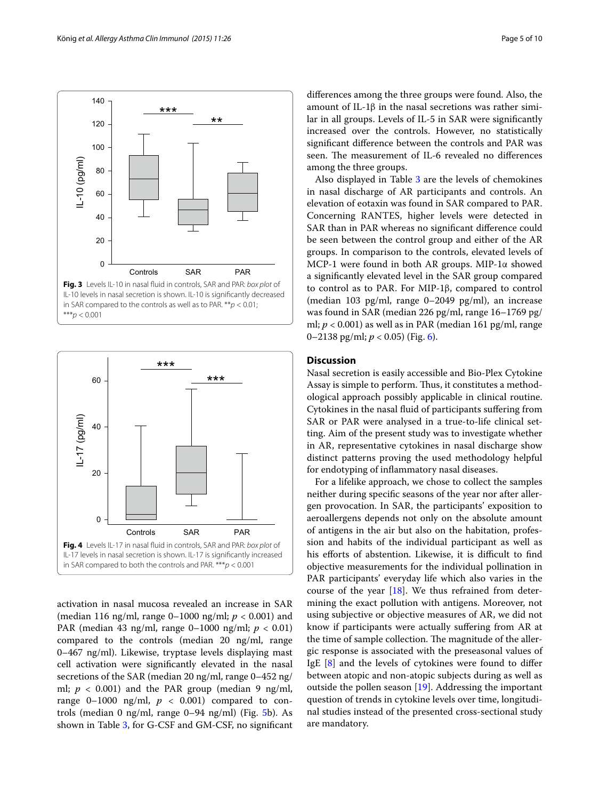

<span id="page-4-0"></span>\*\*\**p* < 0.001



<span id="page-4-1"></span>activation in nasal mucosa revealed an increase in SAR (median 116 ng/ml, range 0–1000 ng/ml; *p* < 0.001) and PAR (median 43 ng/ml, range 0–1000 ng/ml; *p* < 0.01) compared to the controls (median 20 ng/ml, range 0–467 ng/ml). Likewise, tryptase levels displaying mast cell activation were significantly elevated in the nasal secretions of the SAR (median 20 ng/ml, range 0–452 ng/ ml;  $p < 0.001$ ) and the PAR group (median 9 ng/ml, range  $0-1000$  ng/ml,  $p < 0.001$ ) compared to controls (median 0 ng/ml, range 0–94 ng/ml) (Fig. [5](#page-5-0)b). As shown in Table [3,](#page-5-1) for G-CSF and GM-CSF, no significant differences among the three groups were found. Also, the amount of IL-1β in the nasal secretions was rather similar in all groups. Levels of IL-5 in SAR were significantly increased over the controls. However, no statistically significant difference between the controls and PAR was seen. The measurement of IL-6 revealed no differences among the three groups.

Also displayed in Table [3](#page-5-1) are the levels of chemokines in nasal discharge of AR participants and controls. An elevation of eotaxin was found in SAR compared to PAR. Concerning RANTES, higher levels were detected in SAR than in PAR whereas no significant difference could be seen between the control group and either of the AR groups. In comparison to the controls, elevated levels of MCP-1 were found in both AR groups. MIP-1α showed a significantly elevated level in the SAR group compared to control as to PAR. For MIP-1β, compared to control (median 103 pg/ml, range 0–2049 pg/ml), an increase was found in SAR (median 226 pg/ml, range 16–1769 pg/ ml;  $p < 0.001$ ) as well as in PAR (median 161 pg/ml, range 0–2138 pg/ml; *p* < 0.05) (Fig. [6](#page-6-0)).

## **Discussion**

Nasal secretion is easily accessible and Bio-Plex Cytokine Assay is simple to perform. Thus, it constitutes a methodological approach possibly applicable in clinical routine. Cytokines in the nasal fluid of participants suffering from SAR or PAR were analysed in a true-to-life clinical setting. Aim of the present study was to investigate whether in AR, representative cytokines in nasal discharge show distinct patterns proving the used methodology helpful for endotyping of inflammatory nasal diseases.

For a lifelike approach, we chose to collect the samples neither during specific seasons of the year nor after allergen provocation. In SAR, the participants' exposition to aeroallergens depends not only on the absolute amount of antigens in the air but also on the habitation, profession and habits of the individual participant as well as his efforts of abstention. Likewise, it is difficult to find objective measurements for the individual pollination in PAR participants' everyday life which also varies in the course of the year [[18](#page-8-16)]. We thus refrained from determining the exact pollution with antigens. Moreover, not using subjective or objective measures of AR, we did not know if participants were actually suffering from AR at the time of sample collection. The magnitude of the allergic response is associated with the preseasonal values of IgE [\[8](#page-8-6)] and the levels of cytokines were found to differ between atopic and non-atopic subjects during as well as outside the pollen season [[19](#page-8-17)]. Addressing the important question of trends in cytokine levels over time, longitudinal studies instead of the presented cross-sectional study are mandatory.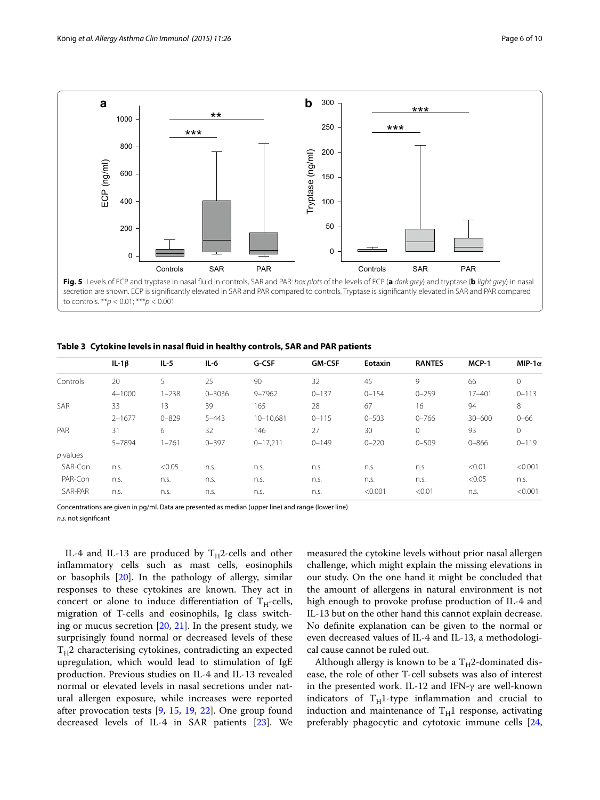

<span id="page-5-1"></span><span id="page-5-0"></span>**Table 3 Cytokine levels in nasal fluid in healthy controls, SAR and PAR patients**

|            | $IL-1\beta$ | $IL-5$    | $IL-6$     | G-CSF        | <b>GM-CSF</b> | Eotaxin   | <b>RANTES</b> | MCP-1      | MIP-1 $\alpha$ |
|------------|-------------|-----------|------------|--------------|---------------|-----------|---------------|------------|----------------|
| Controls   | 20          | 5         | 25         | 90           | 32            | 45        | 9             | 66         | 0              |
|            | $4 - 1000$  | $1 - 238$ | $0 - 3036$ | $9 - 7962$   | $0 - 137$     | $0 - 154$ | $0 - 259$     | $17 - 401$ | $0 - 113$      |
| <b>SAR</b> | 33          | 13        | 39         | 165          | 28            | 67        | 16            | 94         | 8              |
|            | $2 - 1677$  | $0 - 829$ | $5 - 443$  | 10-10.681    | $0 - 115$     | $0 - 503$ | $0 - 766$     | $30 - 600$ | $0 - 66$       |
| PAR        | 31          | 6         | 32         | 146          | 27            | 30        | $\mathbf{0}$  | 93         | 0              |
|            | 5-7894      | $1 - 761$ | $0 - 397$  | $0 - 17,211$ | $0 - 149$     | $0 - 220$ | $0 - 509$     | $0 - 866$  | $0 - 119$      |
| $p$ values |             |           |            |              |               |           |               |            |                |
| SAR-Con    | n.s.        | < 0.05    | n.s.       | n.s.         | n.s.          | n.s.      | n.s.          | < 0.01     | < 0.001        |
| PAR-Con    | n.s.        | n.s.      | n.s.       | n.s.         | n.s.          | n.s.      | n.s.          | < 0.05     | n.S.           |
| SAR-PAR    | n.s.        | n.s.      | n.s.       | n.s.         | n.s.          | < 0.001   | < 0.01        | n.s.       | < 0.001        |

Concentrations are given in pg/ml. Data are presented as median (upper line) and range (lower line) *n.s.* not significant

IL-4 and IL-13 are produced by  $T_H2$ -cells and other inflammatory cells such as mast cells, eosinophils or basophils [\[20](#page-8-18)]. In the pathology of allergy, similar responses to these cytokines are known. They act in concert or alone to induce differentiation of  $T_H$ -cells, migration of T-cells and eosinophils, Ig class switching or mucus secretion [\[20,](#page-8-18) [21\]](#page-8-19). In the present study, we surprisingly found normal or decreased levels of these  $T_H$ 2 characterising cytokines, contradicting an expected upregulation, which would lead to stimulation of IgE production. Previous studies on IL-4 and IL-13 revealed normal or elevated levels in nasal secretions under natural allergen exposure, while increases were reported after provocation tests [\[9](#page-8-7), [15,](#page-8-13) [19](#page-8-17), [22\]](#page-8-20). One group found decreased levels of IL-4 in SAR patients [[23\]](#page-8-21). We measured the cytokine levels without prior nasal allergen challenge, which might explain the missing elevations in our study. On the one hand it might be concluded that the amount of allergens in natural environment is not high enough to provoke profuse production of IL-4 and IL-13 but on the other hand this cannot explain decrease. No definite explanation can be given to the normal or even decreased values of IL-4 and IL-13, a methodological cause cannot be ruled out.

Although allergy is known to be a  $T_H2$ -dominated disease, the role of other T-cell subsets was also of interest in the presented work. IL-12 and IFN-γ are well-known indicators of  $T_H$ 1-type inflammation and crucial to induction and maintenance of  $T_H1$  response, activating preferably phagocytic and cytotoxic immune cells [[24](#page-8-22),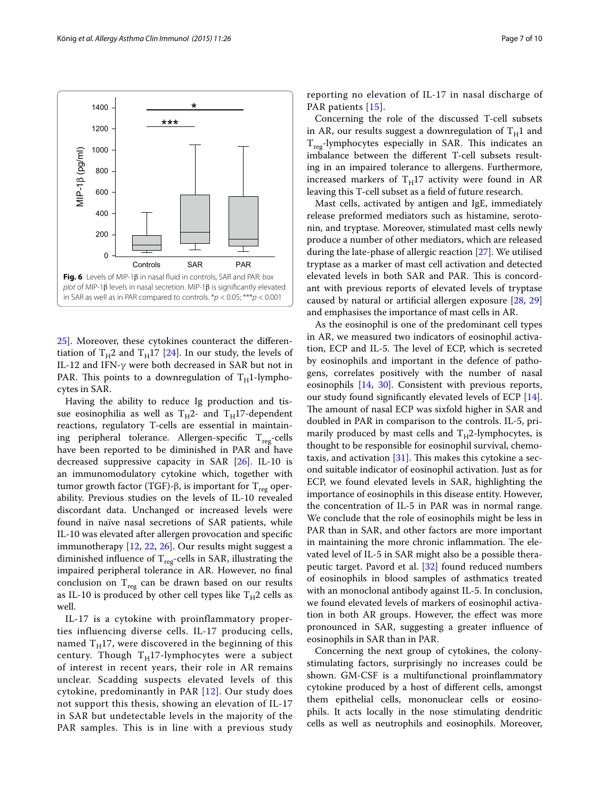

<span id="page-6-0"></span>[25\]](#page-8-23). Moreover, these cytokines counteract the differen-tiation of T<sub>H</sub>2 and T<sub>H</sub>17 [[24\]](#page-8-22). In our study, the levels of IL-12 and IFN-γ were both decreased in SAR but not in PAR. This points to a downregulation of  $T_H$ 1-lymphocytes in SAR.

Having the ability to reduce Ig production and tissue eosinophilia as well as  $T_H^2$ - and  $T_H^2$ -dependent reactions, regulatory T-cells are essential in maintaining peripheral tolerance. Allergen-specific  $T_{reg}$ -cells have been reported to be diminished in PAR and have decreased suppressive capacity in SAR [\[26](#page-8-24)]. IL-10 is an immunomodulatory cytokine which, together with tumor growth factor (TGF)-β, is important for  $T_{reg}$  operability. Previous studies on the levels of IL-10 revealed discordant data. Unchanged or increased levels were found in naïve nasal secretions of SAR patients, while IL-10 was elevated after allergen provocation and specific immunotherapy [[12](#page-8-10), [22](#page-8-20), [26](#page-8-24)]. Our results might suggest a diminished influence of  $T_{reg}$ -cells in SAR, illustrating the impaired peripheral tolerance in AR. However, no final conclusion on  $T_{reg}$  can be drawn based on our results as IL-10 is produced by other cell types like  $T_H2$  cells as well.

IL-17 is a cytokine with proinflammatory properties influencing diverse cells. IL-17 producing cells, named  $T_H$ 17, were discovered in the beginning of this century. Though  $T_H17$ -lymphocytes were a subject of interest in recent years, their role in AR remains unclear. Scadding suspects elevated levels of this cytokine, predominantly in PAR [[12](#page-8-10)]. Our study does not support this thesis, showing an elevation of IL-17 in SAR but undetectable levels in the majority of the PAR samples. This is in line with a previous study reporting no elevation of IL-17 in nasal discharge of PAR patients [[15\]](#page-8-13).

Concerning the role of the discussed T-cell subsets in AR, our results suggest a downregulation of  $T_H1$  and  $T_{\text{reg}}$ -lymphocytes especially in SAR. This indicates an imbalance between the different T-cell subsets resulting in an impaired tolerance to allergens. Furthermore, increased markers of  $T_H17$  activity were found in AR leaving this T-cell subset as a field of future research.

Mast cells, activated by antigen and IgE, immediately release preformed mediators such as histamine, serotonin, and tryptase. Moreover, stimulated mast cells newly produce a number of other mediators, which are released during the late-phase of allergic reaction [[27\]](#page-8-25). We utilised tryptase as a marker of mast cell activation and detected elevated levels in both SAR and PAR. This is concordant with previous reports of elevated levels of tryptase caused by natural or artificial allergen exposure [\[28,](#page-8-26) [29](#page-8-27)] and emphasises the importance of mast cells in AR.

As the eosinophil is one of the predominant cell types in AR, we measured two indicators of eosinophil activation, ECP and IL-5. The level of ECP, which is secreted by eosinophils and important in the defence of pathogens, correlates positively with the number of nasal eosinophils [[14,](#page-8-12) [30](#page-8-28)]. Consistent with previous reports, our study found significantly elevated levels of ECP [\[14](#page-8-12)]. The amount of nasal ECP was sixfold higher in SAR and doubled in PAR in comparison to the controls. IL-5, primarily produced by mast cells and  $T_H2$ -lymphocytes, is thought to be responsible for eosinophil survival, chemotaxis, and activation  $[31]$ . This makes this cytokine a second suitable indicator of eosinophil activation. Just as for ECP, we found elevated levels in SAR, highlighting the importance of eosinophils in this disease entity. However, the concentration of IL-5 in PAR was in normal range. We conclude that the role of eosinophils might be less in PAR than in SAR, and other factors are more important in maintaining the more chronic inflammation. The elevated level of IL-5 in SAR might also be a possible therapeutic target. Pavord et al. [\[32\]](#page-8-30) found reduced numbers of eosinophils in blood samples of asthmatics treated with an monoclonal antibody against IL-5. In conclusion, we found elevated levels of markers of eosinophil activation in both AR groups. However, the effect was more pronounced in SAR, suggesting a greater influence of eosinophils in SAR than in PAR.

Concerning the next group of cytokines, the colonystimulating factors, surprisingly no increases could be shown. GM-CSF is a multifunctional proinflammatory cytokine produced by a host of different cells, amongst them epithelial cells, mononuclear cells or eosinophils. It acts locally in the nose stimulating dendritic cells as well as neutrophils and eosinophils. Moreover,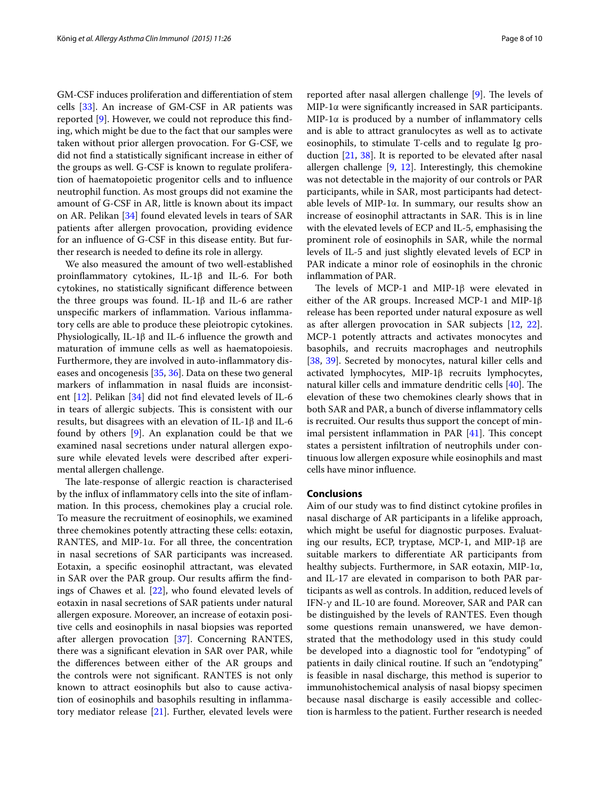GM-CSF induces proliferation and differentiation of stem cells [[33\]](#page-8-31). An increase of GM-CSF in AR patients was reported [\[9](#page-8-7)]. However, we could not reproduce this finding, which might be due to the fact that our samples were taken without prior allergen provocation. For G-CSF, we did not find a statistically significant increase in either of the groups as well. G-CSF is known to regulate proliferation of haematopoietic progenitor cells and to influence neutrophil function. As most groups did not examine the amount of G-CSF in AR, little is known about its impact on AR. Pelikan [\[34\]](#page-8-32) found elevated levels in tears of SAR patients after allergen provocation, providing evidence for an influence of G-CSF in this disease entity. But further research is needed to define its role in allergy.

We also measured the amount of two well-established proinflammatory cytokines, IL-1β and IL-6. For both cytokines, no statistically significant difference between the three groups was found. IL-1β and IL-6 are rather unspecific markers of inflammation. Various inflammatory cells are able to produce these pleiotropic cytokines. Physiologically, IL-1β and IL-6 influence the growth and maturation of immune cells as well as haematopoiesis. Furthermore, they are involved in auto-inflammatory diseases and oncogenesis [[35,](#page-8-33) [36](#page-8-34)]. Data on these two general markers of inflammation in nasal fluids are inconsistent [\[12\]](#page-8-10). Pelikan [[34](#page-8-32)] did not find elevated levels of IL-6 in tears of allergic subjects. This is consistent with our results, but disagrees with an elevation of IL-1β and IL-6 found by others  $[9]$  $[9]$ . An explanation could be that we examined nasal secretions under natural allergen exposure while elevated levels were described after experimental allergen challenge.

The late-response of allergic reaction is characterised by the influx of inflammatory cells into the site of inflammation. In this process, chemokines play a crucial role. To measure the recruitment of eosinophils, we examined three chemokines potently attracting these cells: eotaxin, RANTES, and MIP-1α. For all three, the concentration in nasal secretions of SAR participants was increased. Eotaxin, a specific eosinophil attractant, was elevated in SAR over the PAR group. Our results affirm the findings of Chawes et al. [\[22](#page-8-20)], who found elevated levels of eotaxin in nasal secretions of SAR patients under natural allergen exposure. Moreover, an increase of eotaxin positive cells and eosinophils in nasal biopsies was reported after allergen provocation [[37\]](#page-8-35). Concerning RANTES, there was a significant elevation in SAR over PAR, while the differences between either of the AR groups and the controls were not significant. RANTES is not only known to attract eosinophils but also to cause activation of eosinophils and basophils resulting in inflammatory mediator release [[21\]](#page-8-19). Further, elevated levels were

reported after nasal allergen challenge [[9\]](#page-8-7). The levels of MIP-1α were significantly increased in SAR participants. MIP-1α is produced by a number of inflammatory cells and is able to attract granulocytes as well as to activate eosinophils, to stimulate T-cells and to regulate Ig production [[21,](#page-8-19) [38\]](#page-9-0). It is reported to be elevated after nasal allergen challenge  $[9, 12]$  $[9, 12]$  $[9, 12]$  $[9, 12]$ . Interestingly, this chemokine was not detectable in the majority of our controls or PAR participants, while in SAR, most participants had detectable levels of MIP-1α. In summary, our results show an increase of eosinophil attractants in SAR. This is in line with the elevated levels of ECP and IL-5, emphasising the prominent role of eosinophils in SAR, while the normal levels of IL-5 and just slightly elevated levels of ECP in PAR indicate a minor role of eosinophils in the chronic inflammation of PAR.

The levels of MCP-1 and MIP-1β were elevated in either of the AR groups. Increased MCP-1 and MIP-1β release has been reported under natural exposure as well as after allergen provocation in SAR subjects [[12,](#page-8-10) [22](#page-8-20)]. MCP-1 potently attracts and activates monocytes and basophils, and recruits macrophages and neutrophils [[38,](#page-9-0) [39](#page-9-1)]. Secreted by monocytes, natural killer cells and activated lymphocytes, MIP-1β recruits lymphocytes, natural killer cells and immature dendritic cells [\[40](#page-9-2)]. The elevation of these two chemokines clearly shows that in both SAR and PAR, a bunch of diverse inflammatory cells is recruited. Our results thus support the concept of minimal persistent inflammation in PAR [\[41\]](#page-9-3). This concept states a persistent infiltration of neutrophils under continuous low allergen exposure while eosinophils and mast cells have minor influence.

#### **Conclusions**

Aim of our study was to find distinct cytokine profiles in nasal discharge of AR participants in a lifelike approach, which might be useful for diagnostic purposes. Evaluating our results, ECP, tryptase, MCP-1, and MIP-1β are suitable markers to differentiate AR participants from healthy subjects. Furthermore, in SAR eotaxin, MIP-1α, and IL-17 are elevated in comparison to both PAR participants as well as controls. In addition, reduced levels of IFN-γ and IL-10 are found. Moreover, SAR and PAR can be distinguished by the levels of RANTES. Even though some questions remain unanswered, we have demonstrated that the methodology used in this study could be developed into a diagnostic tool for "endotyping" of patients in daily clinical routine. If such an "endotyping" is feasible in nasal discharge, this method is superior to immunohistochemical analysis of nasal biopsy specimen because nasal discharge is easily accessible and collection is harmless to the patient. Further research is needed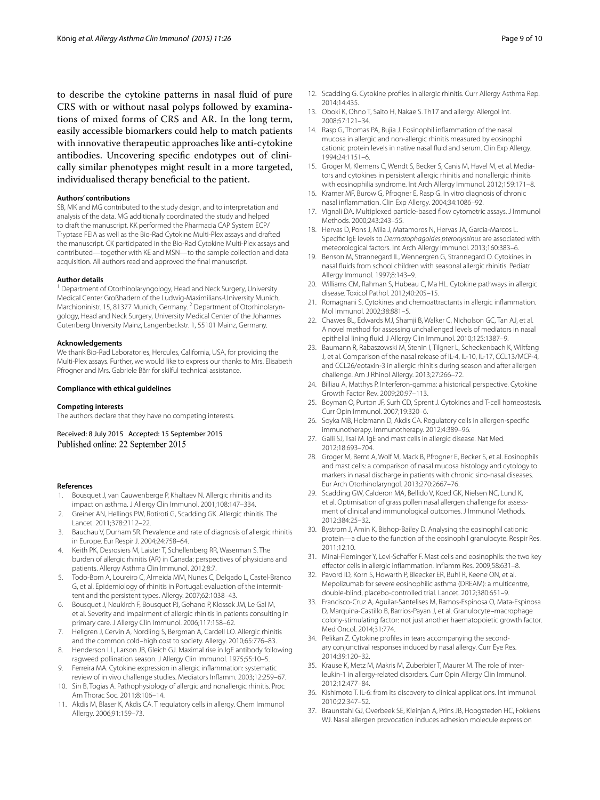to describe the cytokine patterns in nasal fluid of pure CRS with or without nasal polyps followed by examinations of mixed forms of CRS and AR. In the long term, easily accessible biomarkers could help to match patients with innovative therapeutic approaches like anti-cytokine antibodies. Uncovering specific endotypes out of clinically similar phenotypes might result in a more targeted, individualised therapy beneficial to the patient.

#### **Authors' contributions**

SB, MK and MG contributed to the study design, and to interpretation and analysis of the data. MG additionally coordinated the study and helped to draft the manuscript. KK performed the Pharmacia CAP System ECP/ Tryptase FEIA as well as the Bio-Rad Cytokine Multi-Plex assays and drafted the manuscript. CK participated in the Bio-Rad Cytokine Multi-Plex assays and contributed—together with KE and MSN—to the sample collection and data acquisition. All authors read and approved the final manuscript.

#### **Author details**

<sup>1</sup> Department of Otorhinolaryngology, Head and Neck Surgery, University Medical Center Großhadern of the Ludwig-Maximilians-University Munich, Marchioninistr. 15, 81377 Munich, Germany. <sup>2</sup> Department of Otorhinolaryngology, Head and Neck Surgery, University Medical Center of the Johannes Gutenberg University Mainz, Langenbeckstr. 1, 55101 Mainz, Germany.

#### **Acknowledgements**

We thank Bio-Rad Laboratories, Hercules, California, USA, for providing the Multi-Plex assays. Further, we would like to express our thanks to Mrs. Elisabeth Pfrogner and Mrs. Gabriele Bärr for skilful technical assistance.

#### **Compliance with ethical guidelines**

#### **Competing interests**

The authors declare that they have no competing interests.

Received: 8 July 2015 Accepted: 15 September 2015 Published online: 22 September 2015

#### **References**

- <span id="page-8-0"></span>Bousquet J, van Cauwenberge P, Khaltaev N. Allergic rhinitis and its impact on asthma. J Allergy Clin Immunol. 2001;108:147–334.
- <span id="page-8-1"></span>2. Greiner AN, Hellings PW, Rotiroti G, Scadding GK. Allergic rhinitis. The Lancet. 2011;378:2112–22.
- 3. Bauchau V, Durham SR. Prevalence and rate of diagnosis of allergic rhinitis in Europe. Eur Respir J. 2004;24:758–64.
- <span id="page-8-2"></span>4. Keith PK, Desrosiers M, Laister T, Schellenberg RR, Waserman S. The burden of allergic rhinitis (AR) in Canada: perspectives of physicians and patients. Allergy Asthma Clin Immunol. 2012;8:7.
- <span id="page-8-3"></span>5. Todo-Bom A, Loureiro C, Almeida MM, Nunes C, Delgado L, Castel-Branco G, et al. Epidemiology of rhinitis in Portugal: evaluation of the intermittent and the persistent types. Allergy. 2007;62:1038–43.
- <span id="page-8-4"></span>6. Bousquet J, Neukirch F, Bousquet PJ, Gehano P, Klossek JM, Le Gal M, et al. Severity and impairment of allergic rhinitis in patients consulting in primary care. J Allergy Clin Immunol. 2006;117:158–62.
- <span id="page-8-5"></span>7. Hellgren J, Cervin A, Nordling S, Bergman A, Cardell LO. Allergic rhinitis and the common cold–high cost to society. Allergy. 2010;65:776–83.
- <span id="page-8-6"></span>8. Henderson LL, Larson JB, Gleich GJ. Maximal rise in IgE antibody following ragweed pollination season. J Allergy Clin Immunol. 1975;55:10–5.
- <span id="page-8-7"></span>9. Ferreira MA. Cytokine expression in allergic inflammation: systematic review of in vivo challenge studies. Mediators Inflamm. 2003;12:259–67.
- <span id="page-8-8"></span>10. Sin B, Togias A. Pathophysiology of allergic and nonallergic rhinitis. Proc Am Thorac Soc. 2011;8:106–14.
- <span id="page-8-9"></span>11. Akdis M, Blaser K, Akdis CA. T regulatory cells in allergy. Chem Immunol Allergy. 2006;91:159–73.
- <span id="page-8-10"></span>12. Scadding G. Cytokine profiles in allergic rhinitis. Curr Allergy Asthma Rep. 2014;14:435.
- <span id="page-8-11"></span>13. Oboki K, Ohno T, Saito H, Nakae S. Th17 and allergy. Allergol Int. 2008;57:121–34.
- <span id="page-8-12"></span>14. Rasp G, Thomas PA, Bujia J. Eosinophil inflammation of the nasal mucosa in allergic and non-allergic rhinitis measured by eosinophil cationic protein levels in native nasal fluid and serum. Clin Exp Allergy. 1994;24:1151–6.
- <span id="page-8-13"></span>15. Groger M, Klemens C, Wendt S, Becker S, Canis M, Havel M, et al. Mediators and cytokines in persistent allergic rhinitis and nonallergic rhinitis with eosinophilia syndrome. Int Arch Allergy Immunol. 2012;159:171–8.
- <span id="page-8-14"></span>16. Kramer MF, Burow G, Pfrogner E, Rasp G. In vitro diagnosis of chronic nasal inflammation. Clin Exp Allergy. 2004;34:1086–92.
- <span id="page-8-15"></span>17. Vignali DA. Multiplexed particle-based flow cytometric assays. J Immunol Methods. 2000;243:243–55.
- <span id="page-8-16"></span>18. Hervas D, Pons J, Mila J, Matamoros N, Hervas JA, Garcia-Marcos L. Specific IgE levels to *Dermatophagoides pteronyssinus* are associated with meteorological factors. Int Arch Allergy Immunol. 2013;160:383–6.
- <span id="page-8-17"></span>19. Benson M, Strannegard IL, Wennergren G, Strannegard O. Cytokines in nasal fluids from school children with seasonal allergic rhinitis. Pediatr Allergy Immunol. 1997;8:143–9.
- <span id="page-8-18"></span>20. Williams CM, Rahman S, Hubeau C, Ma HL. Cytokine pathways in allergic disease. Toxicol Pathol. 2012;40:205–15.
- <span id="page-8-19"></span>21. Romagnani S. Cytokines and chemoattractants in allergic inflammation. Mol Immunol. 2002;38:881–5.
- <span id="page-8-20"></span>22. Chawes BL, Edwards MJ, Shamji B, Walker C, Nicholson GC, Tan AJ, et al. A novel method for assessing unchallenged levels of mediators in nasal epithelial lining fluid. J Allergy Clin Immunol. 2010;125:1387–9.
- <span id="page-8-21"></span>23. Baumann R, Rabaszowski M, Stenin I, Tilgner L, Scheckenbach K, Wiltfang J, et al. Comparison of the nasal release of IL-4, IL-10, IL-17, CCL13/MCP-4, and CCL26/eotaxin-3 in allergic rhinitis during season and after allergen challenge. Am J Rhinol Allergy. 2013;27:266–72.
- <span id="page-8-22"></span>24. Billiau A, Matthys P. Interferon-gamma: a historical perspective. Cytokine Growth Factor Rev. 2009;20:97–113.
- <span id="page-8-23"></span>25. Boyman O, Purton JF, Surh CD, Sprent J. Cytokines and T-cell homeostasis. Curr Opin Immunol. 2007;19:320–6.
- <span id="page-8-24"></span>26. Soyka MB, Holzmann D, Akdis CA. Regulatory cells in allergen-specific immunotherapy. Immunotherapy. 2012;4:389–96.
- <span id="page-8-25"></span>27. Galli SJ, Tsai M. IgE and mast cells in allergic disease. Nat Med. 2012;18:693–704.
- <span id="page-8-26"></span>28. Groger M, Bernt A, Wolf M, Mack B, Pfrogner E, Becker S, et al. Eosinophils and mast cells: a comparison of nasal mucosa histology and cytology to markers in nasal discharge in patients with chronic sino-nasal diseases. Eur Arch Otorhinolaryngol. 2013;270:2667–76.
- <span id="page-8-27"></span>29. Scadding GW, Calderon MA, Bellido V, Koed GK, Nielsen NC, Lund K, et al. Optimisation of grass pollen nasal allergen challenge for assessment of clinical and immunological outcomes. J Immunol Methods. 2012;384:25–32.
- <span id="page-8-28"></span>30. Bystrom J, Amin K, Bishop-Bailey D. Analysing the eosinophil cationic protein—a clue to the function of the eosinophil granulocyte. Respir Res. 2011;12:10.
- <span id="page-8-29"></span>31. Minai-Fleminger Y, Levi-Schaffer F. Mast cells and eosinophils: the two key effector cells in allergic inflammation. Inflamm Res. 2009;58:631–8.
- <span id="page-8-30"></span>32. Pavord ID, Korn S, Howarth P, Bleecker ER, Buhl R, Keene ON, et al. Mepolizumab for severe eosinophilic asthma (DREAM): a multicentre, double-blind, placebo-controlled trial. Lancet. 2012;380:651–9.
- <span id="page-8-31"></span>33. Francisco-Cruz A, Aguilar-Santelises M, Ramos-Espinosa O, Mata-Espinosa D, Marquina-Castillo B, Barrios-Payan J, et al. Granulocyte–macrophage colony-stimulating factor: not just another haematopoietic growth factor. Med Oncol. 2014;31:774.
- <span id="page-8-32"></span>34. Pelikan Z. Cytokine profiles in tears accompanying the secondary conjunctival responses induced by nasal allergy. Curr Eye Res. 2014;39:120–32.
- <span id="page-8-33"></span>35. Krause K, Metz M, Makris M, Zuberbier T, Maurer M. The role of interleukin-1 in allergy-related disorders. Curr Opin Allergy Clin Immunol. 2012;12:477–84.
- <span id="page-8-34"></span>36. Kishimoto T. IL-6: from its discovery to clinical applications. Int Immunol. 2010;22:347–52.
- <span id="page-8-35"></span>37. Braunstahl GJ, Overbeek SE, Kleinjan A, Prins JB, Hoogsteden HC, Fokkens WJ. Nasal allergen provocation induces adhesion molecule expression